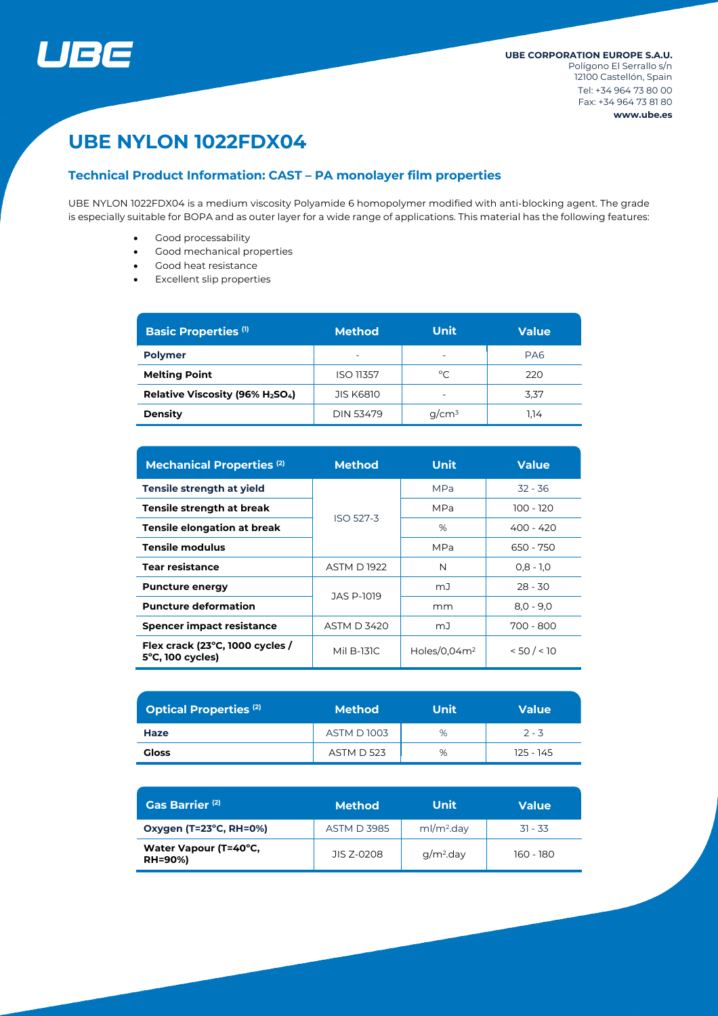

# **UBE NYLON 1022FDX04**

# **Technical Product Information: CAST – PA monolayer film properties**

UBE NYLON 1022FDX04 is a medium viscosity Polyamide 6 homopolymer modified with anti-blocking agent. The grade is especially suitable for BOPA and as outer layer for a wide range of applications. This material has the following features:

- Good processability
- Good mechanical properties
- Good heat resistance
- Excellent slip properties

| <b>Basic Properties (1)</b>    | <b>Method</b>            | <b>Unit</b>              | <b>Value</b> |  |
|--------------------------------|--------------------------|--------------------------|--------------|--|
| <b>Polymer</b>                 | $\overline{\phantom{0}}$ | $\overline{\phantom{0}}$ | PA6          |  |
| <b>Melting Point</b>           | <b>ISO 11357</b>         | $^{\circ}$ C             | 220          |  |
| Relative Viscosity (96% H2SO4) | <b>JIS K6810</b>         |                          | 3,37         |  |
| <b>Density</b>                 | DIN 53479                | $q/cm^3$                 | 1.14         |  |

| <b>Mechanical Properties (2)</b>                              | <b>Method</b>      | Unit            | <b>Value</b> |  |
|---------------------------------------------------------------|--------------------|-----------------|--------------|--|
| Tensile strength at yield                                     |                    | <b>MPa</b>      | $32 - 36$    |  |
| Tensile strength at break                                     | ISO 527-3          | <b>MPa</b>      | 100 - 120    |  |
| <b>Tensile elongation at break</b>                            |                    | %               | $400 - 420$  |  |
| <b>Tensile modulus</b>                                        |                    | <b>MPa</b>      | 650 - 750    |  |
| <b>Tear resistance</b>                                        | <b>ASTM D 1922</b> | N               | $0.8 - 1.0$  |  |
| <b>Puncture energy</b>                                        | JAS P-1019         | mJ              | $28 - 30$    |  |
| <b>Puncture deformation</b>                                   |                    | mm              | $8,0 - 9,0$  |  |
| <b>Spencer impact resistance</b>                              | <b>ASTM D 3420</b> | mJ              | 700 - 800    |  |
| Flex crack (23°C, 1000 cycles /<br>$5^{\circ}$ C, 100 cycles) | Mil B-131C         | Holes/0.04 $m2$ | < 50 / < 10  |  |

| <b>Optical Properties (2)</b> | <b>Method</b>     | Unit | <b>Value</b> |  |
|-------------------------------|-------------------|------|--------------|--|
| Haze                          | <b>ASTM D1003</b> | %    | $2 - 3$      |  |
| <b>Gloss</b>                  | <b>ASTM D 523</b> | %    | 125 - 145    |  |

| Gas Barrier <sup>(2)</sup>              | <b>Method</b>      | Unit                   | Value       |  |
|-----------------------------------------|--------------------|------------------------|-------------|--|
| Oxygen (T=23°C, RH=0%)                  | <b>ASTM D 3985</b> | ml/m <sup>2</sup> .day | $.31 - .33$ |  |
| Water Vapour (T=40°C,<br><b>RH=90%)</b> | JIS 7-0208         | $q/m2$ .day            | 160 - 180   |  |